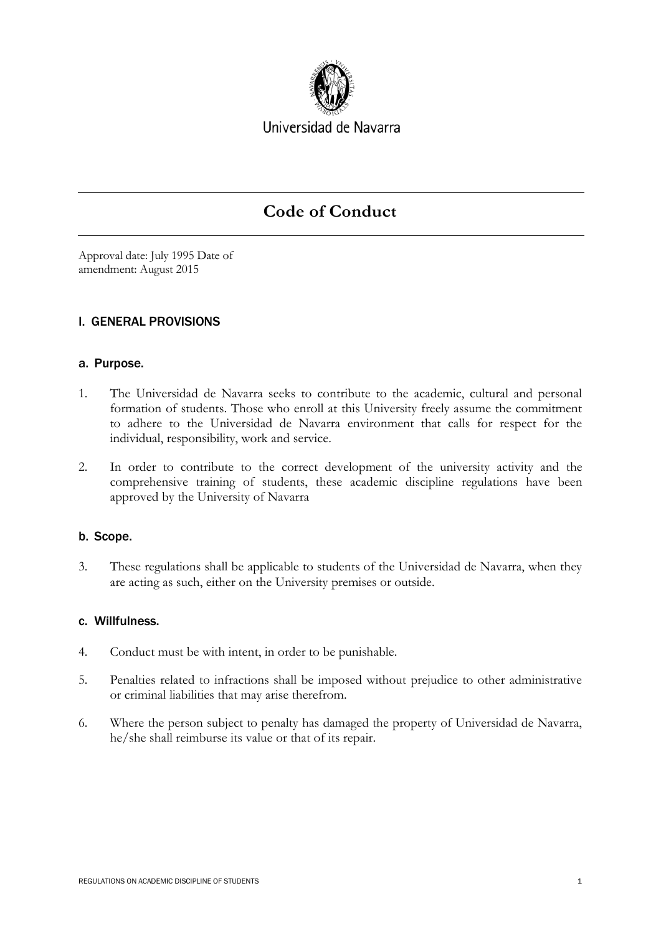

Universidad de Navarra

# **Code of Conduct**

Approval date: July 1995 Date of amendment: August 2015

# I. GENERAL PROVISIONS

## a. Purpose.

- 1. The Universidad de Navarra seeks to contribute to the academic, cultural and personal formation of students. Those who enroll at this University freely assume the commitment to adhere to the Universidad de Navarra environment that calls for respect for the individual, responsibility, work and service.
- 2. In order to contribute to the correct development of the university activity and the comprehensive training of students, these academic discipline regulations have been approved by the University of Navarra

# b. Scope.

3. These regulations shall be applicable to students of the Universidad de Navarra, when they are acting as such, either on the University premises or outside.

## c. Willfulness.

- 4. Conduct must be with intent, in order to be punishable.
- 5. Penalties related to infractions shall be imposed without prejudice to other administrative or criminal liabilities that may arise therefrom.
- 6. Where the person subject to penalty has damaged the property of Universidad de Navarra, he/she shall reimburse its value or that of its repair.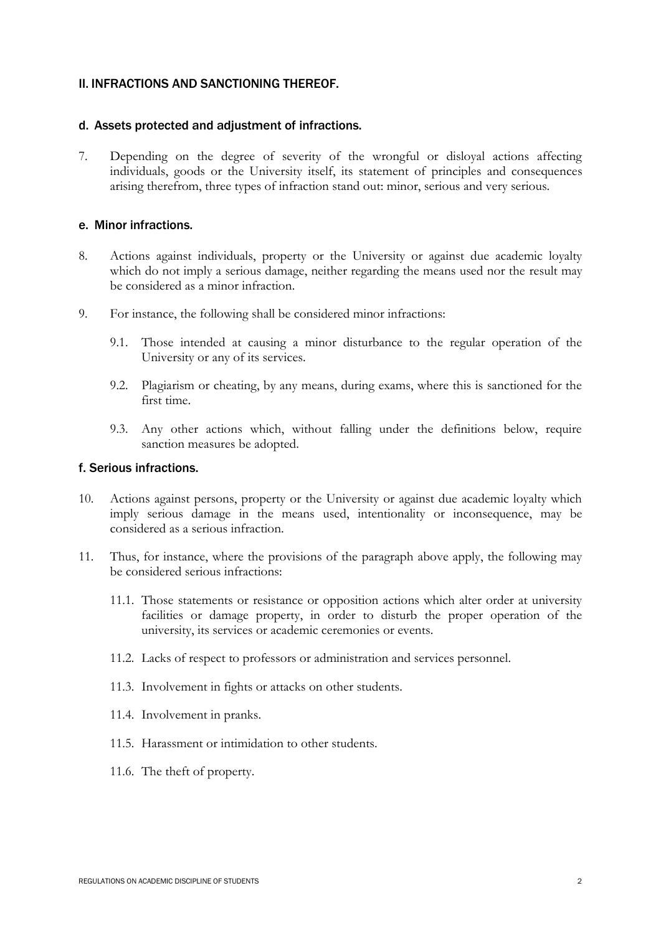## II. INFRACTIONS AND SANCTIONING THEREOF.

#### d. Assets protected and adjustment of infractions.

7. Depending on the degree of severity of the wrongful or disloyal actions affecting individuals, goods or the University itself, its statement of principles and consequences arising therefrom, three types of infraction stand out: minor, serious and very serious.

#### e. Minor infractions.

- 8. Actions against individuals, property or the University or against due academic loyalty which do not imply a serious damage, neither regarding the means used nor the result may be considered as a minor infraction.
- 9. For instance, the following shall be considered minor infractions:
	- 9.1. Those intended at causing a minor disturbance to the regular operation of the University or any of its services.
	- 9.2. Plagiarism or cheating, by any means, during exams, where this is sanctioned for the first time.
	- 9.3. Any other actions which, without falling under the definitions below, require sanction measures be adopted.

## f. Serious infractions.

- 10. Actions against persons, property or the University or against due academic loyalty which imply serious damage in the means used, intentionality or inconsequence, may be considered as a serious infraction.
- 11. Thus, for instance, where the provisions of the paragraph above apply, the following may be considered serious infractions:
	- 11.1. Those statements or resistance or opposition actions which alter order at university facilities or damage property, in order to disturb the proper operation of the university, its services or academic ceremonies or events.
	- 11.2. Lacks of respect to professors or administration and services personnel.
	- 11.3. Involvement in fights or attacks on other students.
	- 11.4. Involvement in pranks.
	- 11.5. Harassment or intimidation to other students.
	- 11.6. The theft of property.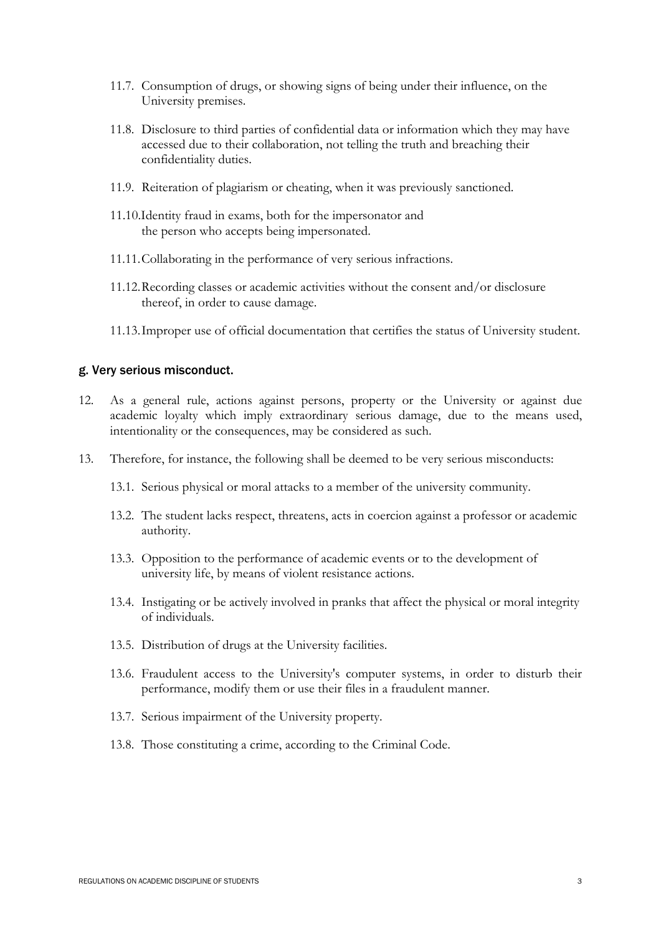- 11.7. Consumption of drugs, or showing signs of being under their influence, on the University premises.
- 11.8. Disclosure to third parties of confidential data or information which they may have accessed due to their collaboration, not telling the truth and breaching their confidentiality duties.
- 11.9. Reiteration of plagiarism or cheating, when it was previously sanctioned.
- 11.10.Identity fraud in exams, both for the impersonator and the person who accepts being impersonated.
- 11.11.Collaborating in the performance of very serious infractions.
- 11.12.Recording classes or academic activities without the consent and/or disclosure thereof, in order to cause damage.
- 11.13.Improper use of official documentation that certifies the status of University student.

#### g. Very serious misconduct.

- 12. As a general rule, actions against persons, property or the University or against due academic loyalty which imply extraordinary serious damage, due to the means used, intentionality or the consequences, may be considered as such.
- 13. Therefore, for instance, the following shall be deemed to be very serious misconducts:
	- 13.1. Serious physical or moral attacks to a member of the university community.
	- 13.2. The student lacks respect, threatens, acts in coercion against a professor or academic authority.
	- 13.3. Opposition to the performance of academic events or to the development of university life, by means of violent resistance actions.
	- 13.4. Instigating or be actively involved in pranks that affect the physical or moral integrity of individuals.
	- 13.5. Distribution of drugs at the University facilities.
	- 13.6. Fraudulent access to the University's computer systems, in order to disturb their performance, modify them or use their files in a fraudulent manner.
	- 13.7. Serious impairment of the University property.
	- 13.8. Those constituting a crime, according to the Criminal Code.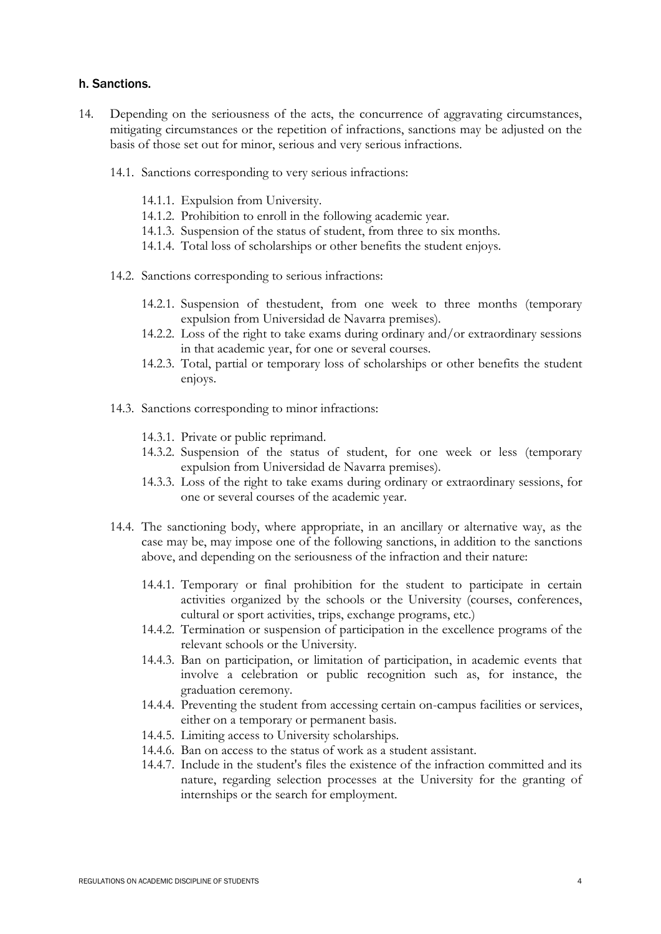#### h. Sanctions.

- 14. Depending on the seriousness of the acts, the concurrence of aggravating circumstances, mitigating circumstances or the repetition of infractions, sanctions may be adjusted on the basis of those set out for minor, serious and very serious infractions.
	- 14.1. Sanctions corresponding to very serious infractions:
		- 14.1.1. Expulsion from University.
		- 14.1.2. Prohibition to enroll in the following academic year.
		- 14.1.3. Suspension of the status of student, from three to six months.
		- 14.1.4. Total loss of scholarships or other benefits the student enjoys.
	- 14.2. Sanctions corresponding to serious infractions:
		- 14.2.1. Suspension of thestudent, from one week to three months (temporary expulsion from Universidad de Navarra premises).
		- 14.2.2. Loss of the right to take exams during ordinary and/or extraordinary sessions in that academic year, for one or several courses.
		- 14.2.3. Total, partial or temporary loss of scholarships or other benefits the student enjoys.
	- 14.3. Sanctions corresponding to minor infractions:
		- 14.3.1. Private or public reprimand.
		- 14.3.2. Suspension of the status of student, for one week or less (temporary expulsion from Universidad de Navarra premises).
		- 14.3.3. Loss of the right to take exams during ordinary or extraordinary sessions, for one or several courses of the academic year.
	- 14.4. The sanctioning body, where appropriate, in an ancillary or alternative way, as the case may be, may impose one of the following sanctions, in addition to the sanctions above, and depending on the seriousness of the infraction and their nature:
		- 14.4.1. Temporary or final prohibition for the student to participate in certain activities organized by the schools or the University (courses, conferences, cultural or sport activities, trips, exchange programs, etc.)
		- 14.4.2. Termination or suspension of participation in the excellence programs of the relevant schools or the University.
		- 14.4.3. Ban on participation, or limitation of participation, in academic events that involve a celebration or public recognition such as, for instance, the graduation ceremony.
		- 14.4.4. Preventing the student from accessing certain on-campus facilities or services, either on a temporary or permanent basis.
		- 14.4.5. Limiting access to University scholarships.
		- 14.4.6. Ban on access to the status of work as a student assistant.
		- 14.4.7. Include in the student's files the existence of the infraction committed and its nature, regarding selection processes at the University for the granting of internships or the search for employment.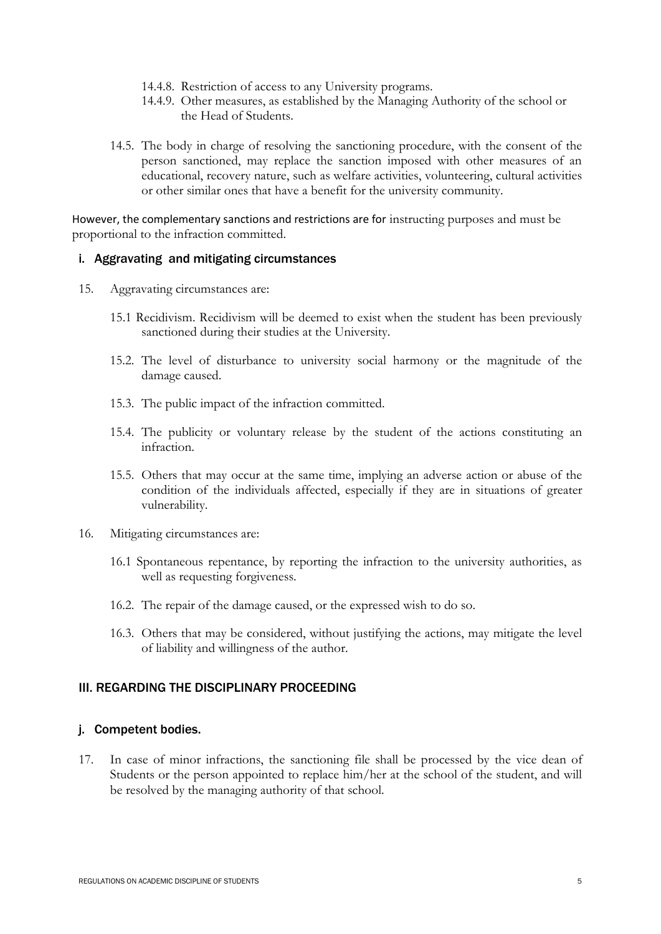- 14.4.8. Restriction of access to any University programs.
- 14.4.9. Other measures, as established by the Managing Authority of the school or the Head of Students.
- 14.5. The body in charge of resolving the sanctioning procedure, with the consent of the person sanctioned, may replace the sanction imposed with other measures of an educational, recovery nature, such as welfare activities, volunteering, cultural activities or other similar ones that have a benefit for the university community.

However, the complementary sanctions and restrictions are for instructing purposes and must be proportional to the infraction committed.

#### i. Aggravating and mitigating circumstances

- 15. Aggravating circumstances are:
	- 15.1 Recidivism. Recidivism will be deemed to exist when the student has been previously sanctioned during their studies at the University.
	- 15.2. The level of disturbance to university social harmony or the magnitude of the damage caused.
	- 15.3. The public impact of the infraction committed.
	- 15.4. The publicity or voluntary release by the student of the actions constituting an infraction.
	- 15.5. Others that may occur at the same time, implying an adverse action or abuse of the condition of the individuals affected, especially if they are in situations of greater vulnerability.
- 16. Mitigating circumstances are:
	- 16.1 Spontaneous repentance, by reporting the infraction to the university authorities, as well as requesting forgiveness.
	- 16.2. The repair of the damage caused, or the expressed wish to do so.
	- 16.3. Others that may be considered, without justifying the actions, may mitigate the level of liability and willingness of the author.

## III. REGARDING THE DISCIPLINARY PROCEEDING

#### j. Competent bodies.

17. In case of minor infractions, the sanctioning file shall be processed by the vice dean of Students or the person appointed to replace him/her at the school of the student, and will be resolved by the managing authority of that school.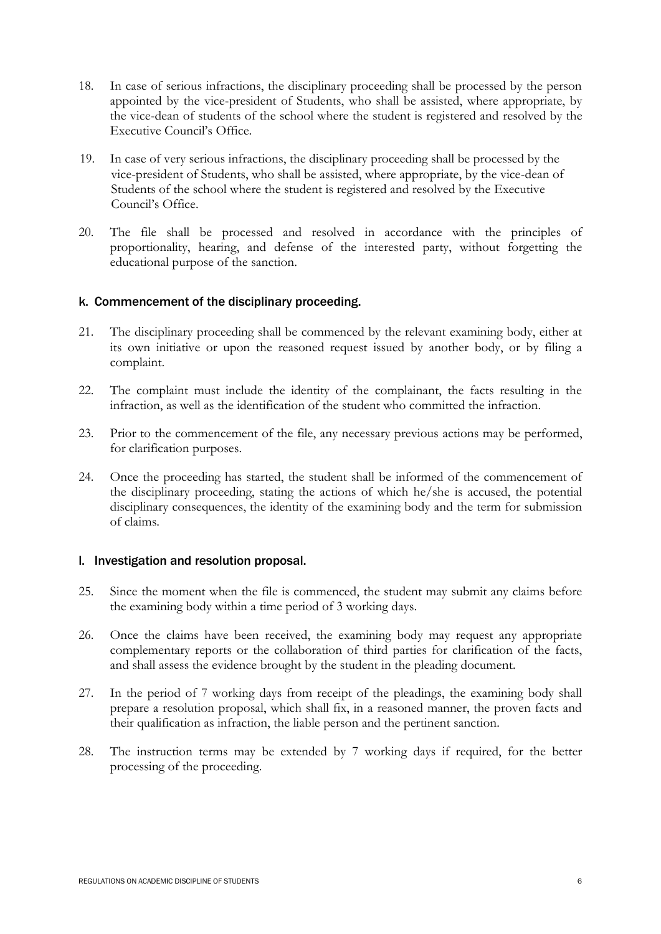- 18. In case of serious infractions, the disciplinary proceeding shall be processed by the person appointed by the vice-president of Students, who shall be assisted, where appropriate, by the vice-dean of students of the school where the student is registered and resolved by the Executive Council's Office.
- 19. In case of very serious infractions, the disciplinary proceeding shall be processed by the vice-president of Students, who shall be assisted, where appropriate, by the vice-dean of Students of the school where the student is registered and resolved by the Executive Council's Office.
- 20. The file shall be processed and resolved in accordance with the principles of proportionality, hearing, and defense of the interested party, without forgetting the educational purpose of the sanction.

## k. Commencement of the disciplinary proceeding.

- 21. The disciplinary proceeding shall be commenced by the relevant examining body, either at its own initiative or upon the reasoned request issued by another body, or by filing a complaint.
- 22. The complaint must include the identity of the complainant, the facts resulting in the infraction, as well as the identification of the student who committed the infraction.
- 23. Prior to the commencement of the file, any necessary previous actions may be performed, for clarification purposes.
- 24. Once the proceeding has started, the student shall be informed of the commencement of the disciplinary proceeding, stating the actions of which he/she is accused, the potential disciplinary consequences, the identity of the examining body and the term for submission of claims.

## l. Investigation and resolution proposal.

- 25. Since the moment when the file is commenced, the student may submit any claims before the examining body within a time period of 3 working days.
- 26. Once the claims have been received, the examining body may request any appropriate complementary reports or the collaboration of third parties for clarification of the facts, and shall assess the evidence brought by the student in the pleading document.
- 27. In the period of 7 working days from receipt of the pleadings, the examining body shall prepare a resolution proposal, which shall fix, in a reasoned manner, the proven facts and their qualification as infraction, the liable person and the pertinent sanction.
- 28. The instruction terms may be extended by 7 working days if required, for the better processing of the proceeding.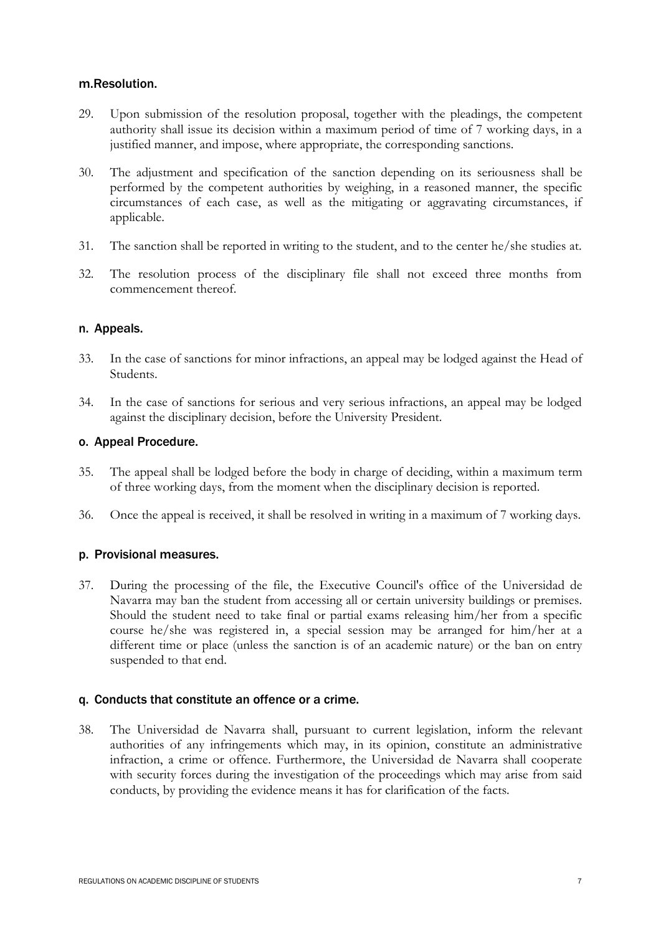#### m.Resolution.

- 29. Upon submission of the resolution proposal, together with the pleadings, the competent authority shall issue its decision within a maximum period of time of 7 working days, in a justified manner, and impose, where appropriate, the corresponding sanctions.
- 30. The adjustment and specification of the sanction depending on its seriousness shall be performed by the competent authorities by weighing, in a reasoned manner, the specific circumstances of each case, as well as the mitigating or aggravating circumstances, if applicable.
- 31. The sanction shall be reported in writing to the student, and to the center he/she studies at.
- 32. The resolution process of the disciplinary file shall not exceed three months from commencement thereof.

#### n. Appeals.

- 33. In the case of sanctions for minor infractions, an appeal may be lodged against the Head of Students.
- 34. In the case of sanctions for serious and very serious infractions, an appeal may be lodged against the disciplinary decision, before the University President.

#### o. Appeal Procedure.

- 35. The appeal shall be lodged before the body in charge of deciding, within a maximum term of three working days, from the moment when the disciplinary decision is reported.
- 36. Once the appeal is received, it shall be resolved in writing in a maximum of 7 working days.

## p. Provisional measures.

37. During the processing of the file, the Executive Council's office of the Universidad de Navarra may ban the student from accessing all or certain university buildings or premises. Should the student need to take final or partial exams releasing him/her from a specific course he/she was registered in, a special session may be arranged for him/her at a different time or place (unless the sanction is of an academic nature) or the ban on entry suspended to that end.

## q. Conducts that constitute an offence or a crime.

38. The Universidad de Navarra shall, pursuant to current legislation, inform the relevant authorities of any infringements which may, in its opinion, constitute an administrative infraction, a crime or offence. Furthermore, the Universidad de Navarra shall cooperate with security forces during the investigation of the proceedings which may arise from said conducts, by providing the evidence means it has for clarification of the facts.